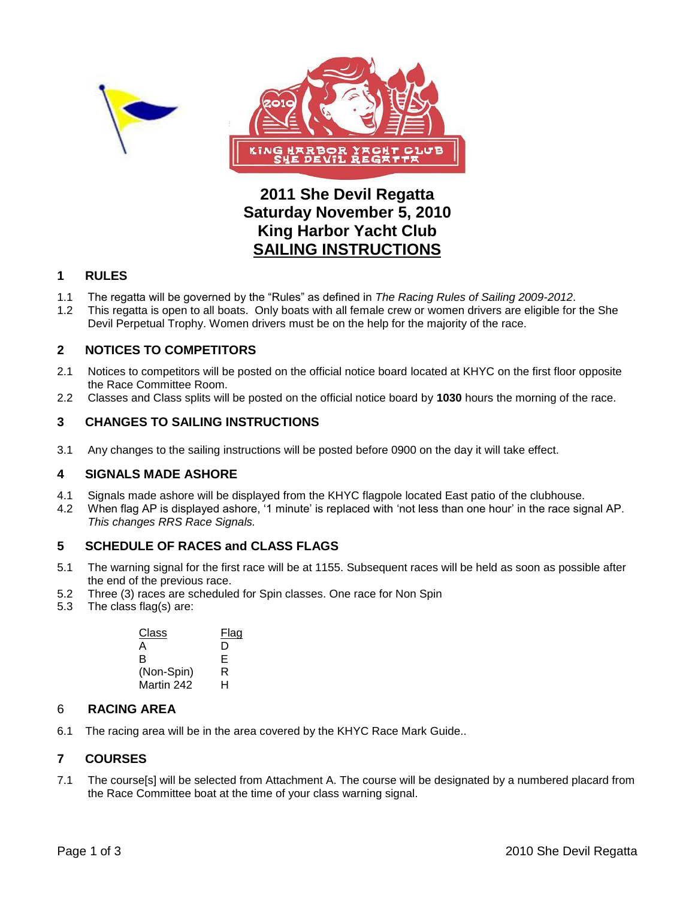



## **2011 She Devil Regatta Saturday November 5, 2010 King Harbor Yacht Club SAILING INSTRUCTIONS**

## **1 RULES**

- 1.1 The regatta will be governed by the "Rules" as defined in *The Racing Rules of Sailing 2009-2012*.
- 1.2 This regatta is open to all boats. Only boats with all female crew or women drivers are eligible for the She Devil Perpetual Trophy. Women drivers must be on the help for the majority of the race.

## **2 NOTICES TO COMPETITORS**

- 2.1 Notices to competitors will be posted on the official notice board located at KHYC on the first floor opposite the Race Committee Room.
- 2.2 Classes and Class splits will be posted on the official notice board by **1030** hours the morning of the race.

## **3 CHANGES TO SAILING INSTRUCTIONS**

3.1 Any changes to the sailing instructions will be posted before 0900 on the day it will take effect.

### **4 SIGNALS MADE ASHORE**

- 4.1 Signals made ashore will be displayed from the KHYC flagpole located East patio of the clubhouse.
- 4.2 When flag AP is displayed ashore, "1 minute" is replaced with "not less than one hour" in the race signal AP. *This changes RRS Race Signals.*

## **5 SCHEDULE OF RACES and CLASS FLAGS**

- 5.1 The warning signal for the first race will be at 1155. Subsequent races will be held as soon as possible after the end of the previous race.
- 5.2 Three (3) races are scheduled for Spin classes. One race for Non Spin
- 5.3 The class flag(s) are:

| Class      | Flag |
|------------|------|
| А          | D    |
| R          | Е    |
| (Non-Spin) | R    |
| Martin 242 | н    |

### 6 **RACING AREA**

6.1 The racing area will be in the area covered by the KHYC Race Mark Guide..

### **7 COURSES**

7.1 The course[s] will be selected from Attachment A. The course will be designated by a numbered placard from the Race Committee boat at the time of your class warning signal.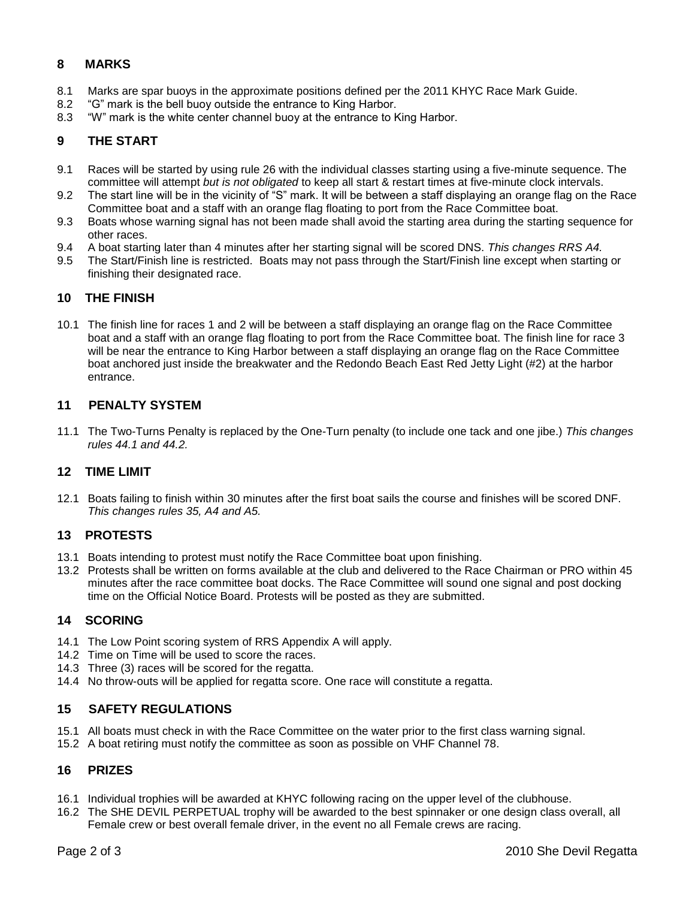## **8 MARKS**

- 8.1 Marks are spar buoys in the approximate positions defined per the 2011 KHYC Race Mark Guide.
- 8.2 "G" mark is the bell buoy outside the entrance to King Harbor.
- 8.3 "W" mark is the white center channel buoy at the entrance to King Harbor.

## **9 THE START**

- 9.1 Races will be started by using rule 26 with the individual classes starting using a five-minute sequence. The committee will attempt *but is not obligated* to keep all start & restart times at five-minute clock intervals.
- 9.2 The start line will be in the vicinity of "S" mark. It will be between a staff displaying an orange flag on the Race Committee boat and a staff with an orange flag floating to port from the Race Committee boat.
- 9.3 Boats whose warning signal has not been made shall avoid the starting area during the starting sequence for other races.
- 9.4 A boat starting later than 4 minutes after her starting signal will be scored DNS. *This changes RRS A4.*
- 9.5 The Start/Finish line is restricted. Boats may not pass through the Start/Finish line except when starting or finishing their designated race.

### **10 THE FINISH**

10.1 The finish line for races 1 and 2 will be between a staff displaying an orange flag on the Race Committee boat and a staff with an orange flag floating to port from the Race Committee boat. The finish line for race 3 will be near the entrance to King Harbor between a staff displaying an orange flag on the Race Committee boat anchored just inside the breakwater and the Redondo Beach East Red Jetty Light (#2) at the harbor entrance.

## **11 PENALTY SYSTEM**

11.1 The Two-Turns Penalty is replaced by the One-Turn penalty (to include one tack and one jibe.) *This changes rules 44.1 and 44.2.*

### **12 TIME LIMIT**

12.1 Boats failing to finish within 30 minutes after the first boat sails the course and finishes will be scored DNF. *This changes rules 35, A4 and A5.*

### **13 PROTESTS**

- 13.1 Boats intending to protest must notify the Race Committee boat upon finishing.
- 13.2 Protests shall be written on forms available at the club and delivered to the Race Chairman or PRO within 45 minutes after the race committee boat docks. The Race Committee will sound one signal and post docking time on the Official Notice Board. Protests will be posted as they are submitted.

### **14 SCORING**

- 14.1 The Low Point scoring system of RRS Appendix A will apply.
- 14.2 Time on Time will be used to score the races.
- 14.3 Three (3) races will be scored for the regatta.
- 14.4 No throw-outs will be applied for regatta score. One race will constitute a regatta.

## **15 SAFETY REGULATIONS**

- 15.1 All boats must check in with the Race Committee on the water prior to the first class warning signal.
- 15.2 A boat retiring must notify the committee as soon as possible on VHF Channel 78.

## **16 PRIZES**

- 16.1 Individual trophies will be awarded at KHYC following racing on the upper level of the clubhouse.
- 16.2 The SHE DEVIL PERPETUAL trophy will be awarded to the best spinnaker or one design class overall, all Female crew or best overall female driver, in the event no all Female crews are racing.